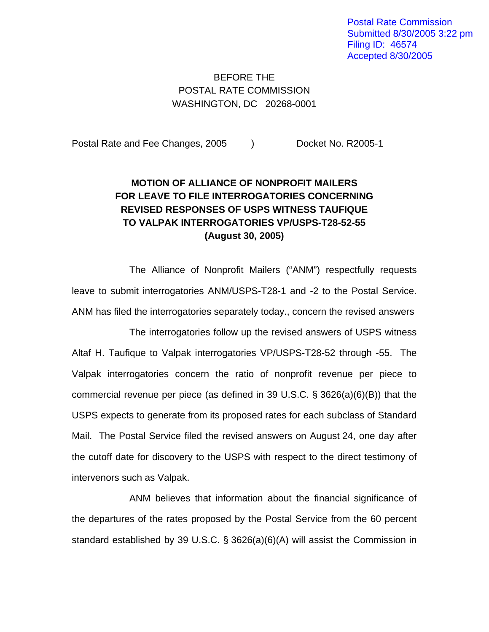Postal Rate Commission Submitted 8/30/2005 3:22 pm Filing ID: 46574 Accepted 8/30/2005

## BEFORE THE POSTAL RATE COMMISSION WASHINGTON, DC 20268-0001

Postal Rate and Fee Changes, 2005 ) Docket No. R2005-1

## **MOTION OF ALLIANCE OF NONPROFIT MAILERS FOR LEAVE TO FILE INTERROGATORIES CONCERNING REVISED RESPONSES OF USPS WITNESS TAUFIQUE TO VALPAK INTERROGATORIES VP/USPS-T28-52-55 (August 30, 2005)**

The Alliance of Nonprofit Mailers ("ANM") respectfully requests leave to submit interrogatories ANM/USPS-T28-1 and -2 to the Postal Service. ANM has filed the interrogatories separately today., concern the revised answers

The interrogatories follow up the revised answers of USPS witness Altaf H. Taufique to Valpak interrogatories VP/USPS-T28-52 through -55. The Valpak interrogatories concern the ratio of nonprofit revenue per piece to commercial revenue per piece (as defined in 39 U.S.C. § 3626(a)(6)(B)) that the USPS expects to generate from its proposed rates for each subclass of Standard Mail. The Postal Service filed the revised answers on August 24, one day after the cutoff date for discovery to the USPS with respect to the direct testimony of intervenors such as Valpak.

ANM believes that information about the financial significance of the departures of the rates proposed by the Postal Service from the 60 percent standard established by 39 U.S.C. § 3626(a)(6)(A) will assist the Commission in